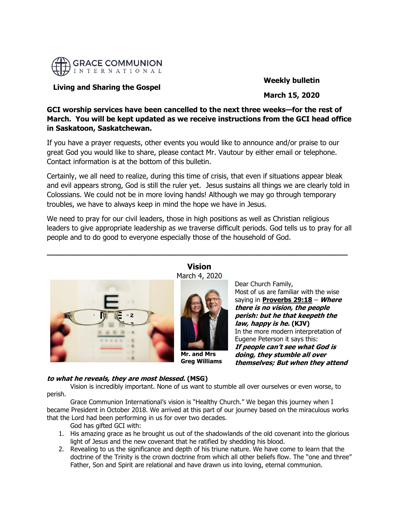

## **Living and Sharing the Gospel**

 **Weekly bulletin** 

 **March 15, 2020** 

## **GCI worship services have been cancelled to the next three weeks—for the rest of March. You will be kept updated as we receive instructions from the GCI head office in Saskatoon, Saskatchewan.**

If you have a prayer requests, other events you would like to announce and/or praise to our great God you would like to share, please contact Mr. Vautour by either email or telephone. Contact information is at the bottom of this bulletin.

Certainly, we all need to realize, during this time of crisis, that even if situations appear bleak and evil appears strong, God is still the ruler yet. Jesus sustains all things we are clearly told in Colossians. We could not be in more loving hands! Although we may go through temporary troubles, we have to always keep in mind the hope we have in Jesus.

We need to pray for our civil leaders, those in high positions as well as Christian religious leaders to give appropriate leadership as we traverse difficult periods. God tells us to pray for all people and to do good to everyone especially those of the household of God.

**\_\_\_\_\_\_\_\_\_\_\_\_\_\_\_\_\_\_\_\_\_\_\_\_\_\_\_\_\_\_\_\_\_\_\_\_\_\_\_\_\_\_\_\_\_\_\_\_\_\_\_\_\_\_\_\_\_\_\_\_\_\_\_\_\_\_**



**Vision** March 4, 2020



**Mr. and Mrs Greg Williams**

Dear Church Family, Most of us are familiar with the wise saying in **[Proverbs 29:18](https://biblia.com/bible/niv/Prov%2029.18)** – **Where there is no vision, the people perish: but he that keepeth the law, happy is he. (KJV)** In the more modern interpretation of Eugene Peterson it says this: **If people can't see what God is doing, they stumble all over themselves; But when they attend** 

## **to what he reveals, they are most blessed. (MSG)**

Vision is incredibly important. None of us want to stumble all over ourselves or even worse, to perish.

Grace Communion International's vision is "Healthy Church." We began this journey when I became President in October 2018. We arrived at this part of our journey based on the miraculous works that the Lord had been performing in us for over two decades.

God has gifted GCI with:

- 1. His amazing grace as he brought us out of the shadowlands of the old covenant into the glorious light of Jesus and the new covenant that he ratified by shedding his blood.
- 2. Revealing to us the significance and depth of his triune nature. We have come to learn that the doctrine of the Trinity is the crown doctrine from which all other beliefs flow. The "one and three" Father, Son and Spirit are relational and have drawn us into loving, eternal communion.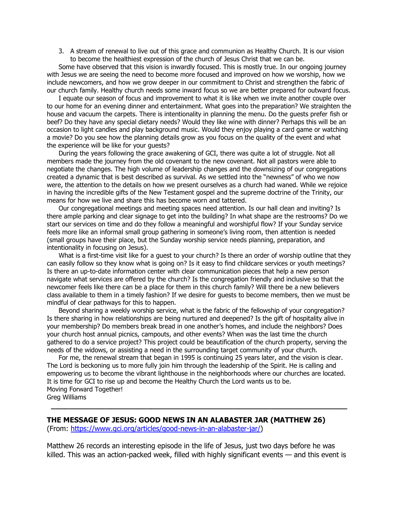3. A stream of renewal to live out of this grace and communion as Healthy Church. It is our vision to become the healthiest expression of the church of Jesus Christ that we can be.

Some have observed that this vision is inwardly focused. This is mostly true. In our ongoing journey with Jesus we are seeing the need to become more focused and improved on how we worship, how we include newcomers, and how we grow deeper in our commitment to Christ and strengthen the fabric of our church family. Healthy church needs some inward focus so we are better prepared for outward focus.

I equate our season of focus and improvement to what it is like when we invite another couple over to our home for an evening dinner and entertainment. What goes into the preparation? We straighten the house and vacuum the carpets. There is intentionality in planning the menu. Do the guests prefer fish or beef? Do they have any special dietary needs? Would they like wine with dinner? Perhaps this will be an occasion to light candles and play background music. Would they enjoy playing a card game or watching a movie? Do you see how the planning details grow as you focus on the quality of the event and what the experience will be like for your guests?

During the years following the grace awakening of GCI, there was quite a lot of struggle. Not all members made the journey from the old covenant to the new covenant. Not all pastors were able to negotiate the changes. The high volume of leadership changes and the downsizing of our congregations created a dynamic that is best described as survival. As we settled into the "newness" of who we now were, the attention to the details on how we present ourselves as a church had waned. While we rejoice in having the incredible gifts of the New Testament gospel and the supreme doctrine of the Trinity, our means for how we live and share this has become worn and tattered.

Our congregational meetings and meeting spaces need attention. Is our hall clean and inviting? Is there ample parking and clear signage to get into the building? In what shape are the restrooms? Do we start our services on time and do they follow a meaningful and worshipful flow? If your Sunday service feels more like an informal small group gathering in someone's living room, then attention is needed (small groups have their place, but the Sunday worship service needs planning, preparation, and intentionality in focusing on Jesus).

What is a first-time visit like for a guest to your church? Is there an order of worship outline that they can easily follow so they know what is going on? Is it easy to find childcare services or youth meetings? Is there an up-to-date information center with clear communication pieces that help a new person navigate what services are offered by the church? Is the congregation friendly and inclusive so that the newcomer feels like there can be a place for them in this church family? Will there be a new believers class available to them in a timely fashion? If we desire for guests to become members, then we must be mindful of clear pathways for this to happen.

Beyond sharing a weekly worship service, what is the fabric of the fellowship of your congregation? Is there sharing in how relationships are being nurtured and deepened? Is the gift of hospitality alive in your membership? Do members break bread in one another's homes, and include the neighbors? Does your church host annual picnics, campouts, and other events? When was the last time the church gathered to do a service project? This project could be beautification of the church property, serving the needs of the widows, or assisting a need in the surrounding target community of your church.

For me, the renewal stream that began in 1995 is continuing 25 years later, and the vision is clear. The Lord is beckoning us to more fully join him through the leadership of the Spirit. He is calling and empowering us to become the vibrant lighthouse in the neighborhoods where our churches are located. It is time for GCI to rise up and become the Healthy Church the Lord wants us to be. Moving Forward Together! Greg Williams

**\_\_\_\_\_\_\_\_\_\_\_\_\_\_\_\_\_\_\_\_\_\_\_\_\_\_\_\_\_\_\_\_\_\_\_\_\_\_\_\_\_\_\_\_\_\_\_\_\_\_\_\_\_\_\_\_\_\_\_\_\_\_\_\_\_**

**THE MESSAGE OF JESUS: GOOD NEWS IN AN ALABASTER JAR (MATTHEW 26)** (From: [https://www.gci.org/articles/good-news-in-an-alabaster-jar/\)](https://www.gci.org/articles/good-news-in-an-alabaster-jar/)

Matthew 26 records an interesting episode in the life of Jesus, just two days before he was killed. This was an action-packed week, filled with highly significant events — and this event is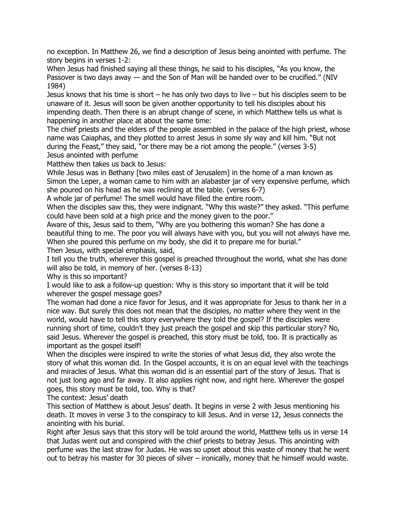no exception. In Matthew 26, we find a description of Jesus being anointed with perfume. The story begins in verses 1-2:

When Jesus had finished saying all these things, he said to his disciples, "As you know, the Passover is two days away — and the Son of Man will be handed over to be crucified." (NIV 1984)

Jesus knows that his time is short – he has only two days to live – but his disciples seem to be unaware of it. Jesus will soon be given another opportunity to tell his disciples about his impending death. Then there is an abrupt change of scene, in which Matthew tells us what is happening in another place at about the same time:

The chief priests and the elders of the people assembled in the palace of the high priest, whose name was Caiaphas, and they plotted to arrest Jesus in some sly way and kill him. "But not during the Feast," they said, "or there may be a riot among the people." (verses 3-5) Jesus anointed with perfume

Matthew then takes us back to Jesus:

While Jesus was in Bethany [two miles east of Jerusalem] in the home of a man known as Simon the Leper, a woman came to him with an alabaster jar of very expensive perfume, which she poured on his head as he was reclining at the table. (verses 6-7)

A whole jar of perfume! The smell would have filled the entire room.

When the disciples saw this, they were indignant. "Why this waste?" they asked. "This perfume could have been sold at a high price and the money given to the poor."

Aware of this, Jesus said to them, "Why are you bothering this woman? She has done a beautiful thing to me. The poor you will always have with you, but you will not always have me. When she poured this perfume on my body, she did it to prepare me for burial."

Then Jesus, with special emphasis, said,

I tell you the truth, wherever this gospel is preached throughout the world, what she has done will also be told, in memory of her. (verses 8-13)

Why is this so important?

I would like to ask a follow-up question: Why is this story so important that it will be told wherever the gospel message goes?

The woman had done a nice favor for Jesus, and it was appropriate for Jesus to thank her in a nice way. But surely this does not mean that the disciples, no matter where they went in the world, would have to tell this story everywhere they told the gospel? If the disciples were running short of time, couldn't they just preach the gospel and skip this particular story? No, said Jesus. Wherever the gospel is preached, this story must be told, too. It is practically as important as the gospel itself!

When the disciples were inspired to write the stories of what Jesus did, they also wrote the story of what this woman did. In the Gospel accounts, it is on an equal level with the teachings and miracles of Jesus. What this woman did is an essential part of the story of Jesus. That is not just long ago and far away. It also applies right now, and right here. Wherever the gospel goes, this story must be told, too. Why is that?

The context: Jesus' death

This section of Matthew is about Jesus' death. It begins in verse 2 with Jesus mentioning his death. It moves in verse 3 to the conspiracy to kill Jesus. And in verse 12, Jesus connects the anointing with his burial.

Right after Jesus says that this story will be told around the world, Matthew tells us in verse 14 that Judas went out and conspired with the chief priests to betray Jesus. This anointing with perfume was the last straw for Judas. He was so upset about this waste of money that he went out to betray his master for 30 pieces of silver – ironically, money that he himself would waste.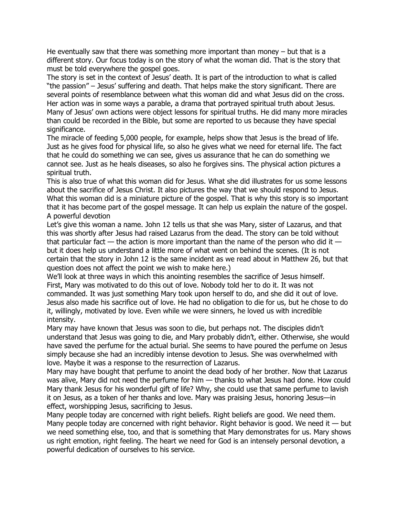He eventually saw that there was something more important than money – but that is a different story. Our focus today is on the story of what the woman did. That is the story that must be told everywhere the gospel goes.

The story is set in the context of Jesus' death. It is part of the introduction to what is called "the passion" – Jesus' suffering and death. That helps make the story significant. There are several points of resemblance between what this woman did and what Jesus did on the cross. Her action was in some ways a parable, a drama that portrayed spiritual truth about Jesus. Many of Jesus' own actions were object lessons for spiritual truths. He did many more miracles than could be recorded in the Bible, but some are reported to us because they have special significance.

The miracle of feeding 5,000 people, for example, helps show that Jesus is the bread of life. Just as he gives food for physical life, so also he gives what we need for eternal life. The fact that he could do something we can see, gives us assurance that he can do something we cannot see. Just as he heals diseases, so also he forgives sins. The physical action pictures a spiritual truth.

This is also true of what this woman did for Jesus. What she did illustrates for us some lessons about the sacrifice of Jesus Christ. It also pictures the way that we should respond to Jesus. What this woman did is a miniature picture of the gospel. That is why this story is so important that it has become part of the gospel message. It can help us explain the nature of the gospel. A powerful devotion

Let's give this woman a name. John 12 tells us that she was Mary, sister of Lazarus, and that this was shortly after Jesus had raised Lazarus from the dead. The story can be told without that particular fact  $-$  the action is more important than the name of the person who did it  $$ but it does help us understand a little more of what went on behind the scenes. (It is not certain that the story in John 12 is the same incident as we read about in Matthew 26, but that question does not affect the point we wish to make here.)

We'll look at three ways in which this anointing resembles the sacrifice of Jesus himself. First, Mary was motivated to do this out of love. Nobody told her to do it. It was not commanded. It was just something Mary took upon herself to do, and she did it out of love. Jesus also made his sacrifice out of love. He had no obligation to die for us, but he chose to do it, willingly, motivated by love. Even while we were sinners, he loved us with incredible intensity.

Mary may have known that Jesus was soon to die, but perhaps not. The disciples didn't understand that Jesus was going to die, and Mary probably didn't, either. Otherwise, she would have saved the perfume for the actual burial. She seems to have poured the perfume on Jesus simply because she had an incredibly intense devotion to Jesus. She was overwhelmed with love. Maybe it was a response to the resurrection of Lazarus.

Mary may have bought that perfume to anoint the dead body of her brother. Now that Lazarus was alive, Mary did not need the perfume for him — thanks to what Jesus had done. How could Mary thank Jesus for his wonderful gift of life? Why, she could use that same perfume to lavish it on Jesus, as a token of her thanks and love. Mary was praising Jesus, honoring Jesus—in effect, worshipping Jesus, sacrificing to Jesus.

Many people today are concerned with right beliefs. Right beliefs are good. We need them. Many people today are concerned with right behavior. Right behavior is good. We need it  $-$  but we need something else, too, and that is something that Mary demonstrates for us. Mary shows us right emotion, right feeling. The heart we need for God is an intensely personal devotion, a powerful dedication of ourselves to his service.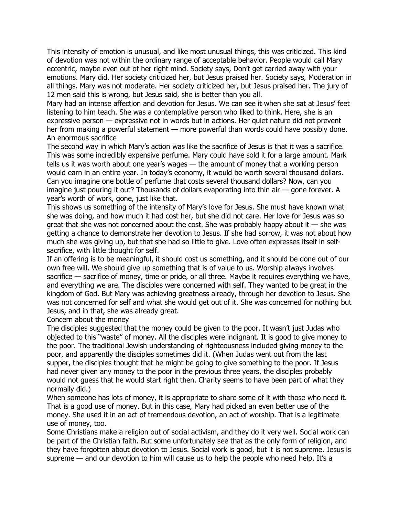This intensity of emotion is unusual, and like most unusual things, this was criticized. This kind of devotion was not within the ordinary range of acceptable behavior. People would call Mary eccentric, maybe even out of her right mind. Society says, Don't get carried away with your emotions. Mary did. Her society criticized her, but Jesus praised her. Society says, Moderation in all things. Mary was not moderate. Her society criticized her, but Jesus praised her. The jury of 12 men said this is wrong, but Jesus said, she is better than you all.

Mary had an intense affection and devotion for Jesus. We can see it when she sat at Jesus' feet listening to him teach. She was a contemplative person who liked to think. Here, she is an expressive person — expressive not in words but in actions. Her quiet nature did not prevent her from making a powerful statement — more powerful than words could have possibly done. An enormous sacrifice

The second way in which Mary's action was like the sacrifice of Jesus is that it was a sacrifice. This was some incredibly expensive perfume. Mary could have sold it for a large amount. Mark tells us it was worth about one year's wages — the amount of money that a working person would earn in an entire year. In today's economy, it would be worth several thousand dollars. Can you imagine one bottle of perfume that costs several thousand dollars? Now, can you imagine just pouring it out? Thousands of dollars evaporating into thin air — gone forever. A year's worth of work, gone, just like that.

This shows us something of the intensity of Mary's love for Jesus. She must have known what she was doing, and how much it had cost her, but she did not care. Her love for Jesus was so great that she was not concerned about the cost. She was probably happy about it  $-$  she was getting a chance to demonstrate her devotion to Jesus. If she had sorrow, it was not about how much she was giving up, but that she had so little to give. Love often expresses itself in selfsacrifice, with little thought for self.

If an offering is to be meaningful, it should cost us something, and it should be done out of our own free will. We should give up something that is of value to us. Worship always involves sacrifice — sacrifice of money, time or pride, or all three. Maybe it requires everything we have, and everything we are. The disciples were concerned with self. They wanted to be great in the kingdom of God. But Mary was achieving greatness already, through her devotion to Jesus. She was not concerned for self and what she would get out of it. She was concerned for nothing but Jesus, and in that, she was already great.

Concern about the money

The disciples suggested that the money could be given to the poor. It wasn't just Judas who objected to this "waste" of money. All the disciples were indignant. It is good to give money to the poor. The traditional Jewish understanding of righteousness included giving money to the poor, and apparently the disciples sometimes did it. (When Judas went out from the last supper, the disciples thought that he might be going to give something to the poor. If Jesus had never given any money to the poor in the previous three years, the disciples probably would not guess that he would start right then. Charity seems to have been part of what they normally did.)

When someone has lots of money, it is appropriate to share some of it with those who need it. That is a good use of money. But in this case, Mary had picked an even better use of the money. She used it in an act of tremendous devotion, an act of worship. That is a legitimate use of money, too.

Some Christians make a religion out of social activism, and they do it very well. Social work can be part of the Christian faith. But some unfortunately see that as the only form of religion, and they have forgotten about devotion to Jesus. Social work is good, but it is not supreme. Jesus is supreme — and our devotion to him will cause us to help the people who need help. It's a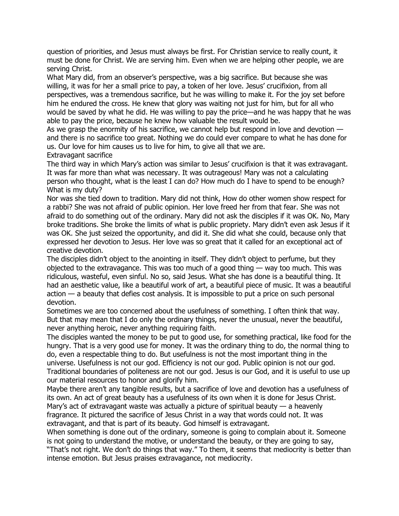question of priorities, and Jesus must always be first. For Christian service to really count, it must be done for Christ. We are serving him. Even when we are helping other people, we are serving Christ.

What Mary did, from an observer's perspective, was a big sacrifice. But because she was willing, it was for her a small price to pay, a token of her love. Jesus' crucifixion, from all perspectives, was a tremendous sacrifice, but he was willing to make it. For the joy set before him he endured the cross. He knew that glory was waiting not just for him, but for all who would be saved by what he did. He was willing to pay the price—and he was happy that he was able to pay the price, because he knew how valuable the result would be.

As we grasp the enormity of his sacrifice, we cannot help but respond in love and devotion and there is no sacrifice too great. Nothing we do could ever compare to what he has done for us. Our love for him causes us to live for him, to give all that we are.

## Extravagant sacrifice

The third way in which Mary's action was similar to Jesus' crucifixion is that it was extravagant. It was far more than what was necessary. It was outrageous! Mary was not a calculating person who thought, what is the least I can do? How much do I have to spend to be enough? What is my duty?

Nor was she tied down to tradition. Mary did not think, How do other women show respect for a rabbi? She was not afraid of public opinion. Her love freed her from that fear. She was not afraid to do something out of the ordinary. Mary did not ask the disciples if it was OK. No, Mary broke traditions. She broke the limits of what is public propriety. Mary didn't even ask Jesus if it was OK. She just seized the opportunity, and did it. She did what she could, because only that expressed her devotion to Jesus. Her love was so great that it called for an exceptional act of creative devotion.

The disciples didn't object to the anointing in itself. They didn't object to perfume, but they objected to the extravagance. This was too much of a good thing — way too much. This was ridiculous, wasteful, even sinful. No so, said Jesus. What she has done is a beautiful thing. It had an aesthetic value, like a beautiful work of art, a beautiful piece of music. It was a beautiful action — a beauty that defies cost analysis. It is impossible to put a price on such personal devotion.

Sometimes we are too concerned about the usefulness of something. I often think that way. But that may mean that I do only the ordinary things, never the unusual, never the beautiful, never anything heroic, never anything requiring faith.

The disciples wanted the money to be put to good use, for something practical, like food for the hungry. That is a very good use for money. It was the ordinary thing to do, the normal thing to do, even a respectable thing to do. But usefulness is not the most important thing in the universe. Usefulness is not our god. Efficiency is not our god. Public opinion is not our god. Traditional boundaries of politeness are not our god. Jesus is our God, and it is useful to use up our material resources to honor and glorify him.

Maybe there aren't any tangible results, but a sacrifice of love and devotion has a usefulness of its own. An act of great beauty has a usefulness of its own when it is done for Jesus Christ. Mary's act of extravagant waste was actually a picture of spiritual beauty  $-$  a heavenly fragrance. It pictured the sacrifice of Jesus Christ in a way that words could not. It was extravagant, and that is part of its beauty. God himself is extravagant.

When something is done out of the ordinary, someone is going to complain about it. Someone is not going to understand the motive, or understand the beauty, or they are going to say, "That's not right. We don't do things that way." To them, it seems that mediocrity is better than intense emotion. But Jesus praises extravagance, not mediocrity.